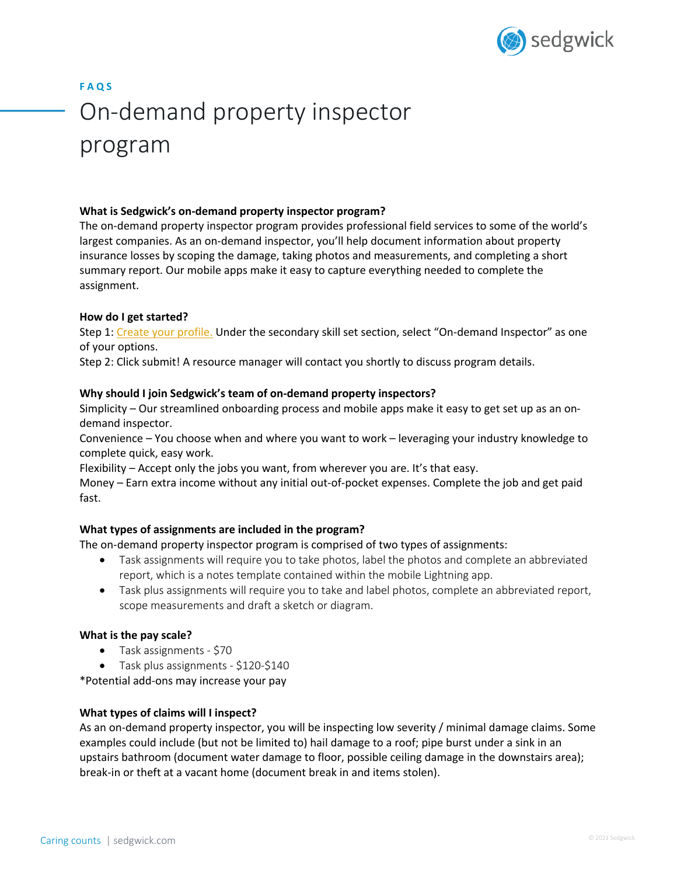

# **F A Q S** On-demand property inspector program

#### **What is Sedgwick's on-demand property inspector program?**

The on-demand property inspector program provides professional field services to some of the world's largest companies. As an on-demand inspector, you'll help document information about property insurance losses by scoping the damage, taking photos and measurements, and completing a short summary report. Our mobile apps make it easy to capture everything needed to complete the assignment.

#### **How do I get started?**

Step 1: Create your profile. Under the secondary skill set section, select "On-demand Inspector" as one of your options.

Step 2: Click submit! A resource manager will contact you shortly to discuss program details.

#### **Why should I join Sedgwick's team of on-demand property inspectors?**

Simplicity – Our streamlined onboarding process and mobile apps make it easy to get set up as an ondemand inspector.

Convenience – You choose when and where you want to work – leveraging your industry knowledge to complete quick, easy work.

Flexibility – Accept only the jobs you want, from wherever you are. It's that easy.

Money – Earn extra income without any initial out-of-pocket expenses. Complete the job and get paid fast.

#### **What types of assignments are included in the program?**

The on-demand property inspector program is comprised of two types of assignments:

- Task assignments will require you to take photos, label the photos and complete an abbreviated report, which is a notes template contained within the mobile Lightning app.
- Task plus assignments will require you to take and label photos, complete an abbreviated report, scope measurements and draft a sketch or diagram.

#### **What is the pay scale?**

- Task assignments \$70
- Task plus assignments \$120-\$140

\*Potential add-ons may increase your pay

#### **What types of claims will I inspect?**

As an on-demand property inspector, you will be inspecting low severity / minimal damage claims. Some examples could include (but not be limited to) hail damage to a roof; pipe burst under a sink in an upstairs bathroom (document water damage to floor, possible ceiling damage in the downstairs area); break-in or theft at a vacant home (document break in and items stolen).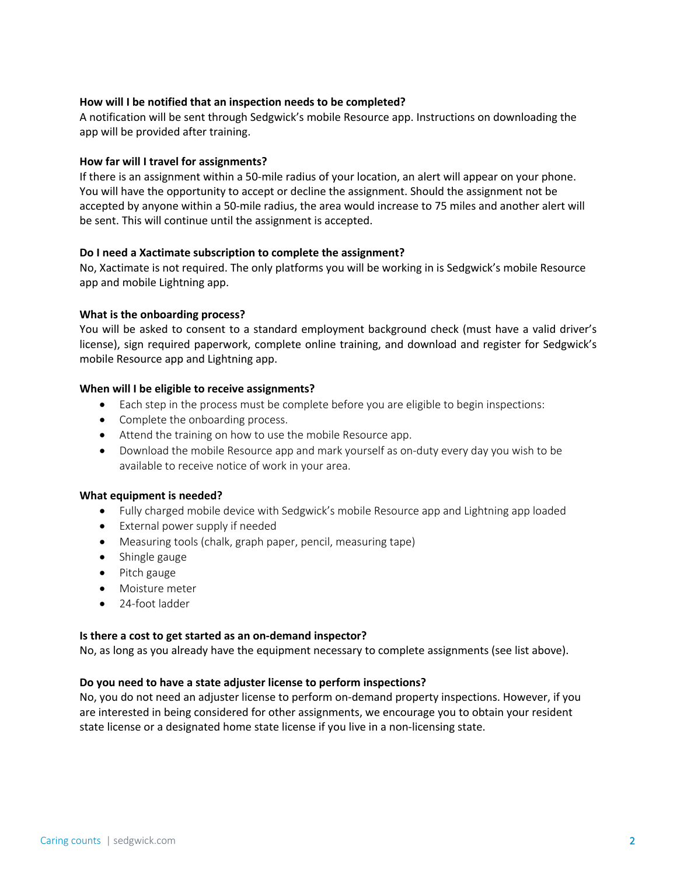#### **How will I be notified that an inspection needs to be completed?**

A notification will be sent through Sedgwick's mobile Resource app. Instructions on downloading the app will be provided after training.

#### **How far will I travel for assignments?**

If there is an assignment within a 50-mile radius of your location, an alert will appear on your phone. You will have the opportunity to accept or decline the assignment. Should the assignment not be accepted by anyone within a 50-mile radius, the area would increase to 75 miles and another alert will be sent. This will continue until the assignment is accepted.

#### **Do I need a Xactimate subscription to complete the assignment?**

No, Xactimate is not required. The only platforms you will be working in is Sedgwick's mobile Resource app and mobile Lightning app.

#### **What is the onboarding process?**

You will be asked to consent to a standard employment background check (must have a valid driver's license), sign required paperwork, complete online training, and download and register for Sedgwick's mobile Resource app and Lightning app.

#### **When will I be eligible to receive assignments?**

- Each step in the process must be complete before you are eligible to begin inspections:
- Complete the onboarding process.
- Attend the training on how to use the mobile Resource app.
- Download the mobile Resource app and mark yourself as on-duty every day you wish to be available to receive notice of work in your area.

#### **What equipment is needed?**

- Fully charged mobile device with Sedgwick's mobile Resource app and Lightning app loaded
- External power supply if needed
- Measuring tools (chalk, graph paper, pencil, measuring tape)
- Shingle gauge
- Pitch gauge
- Moisture meter
- 24-foot ladder

#### **Is there a cost to get started as an on-demand inspector?**

No, as long as you already have the equipment necessary to complete assignments (see list above).

#### **Do you need to have a state adjuster license to perform inspections?**

No, you do not need an adjuster license to perform on-demand property inspections. However, if you are interested in being considered for other assignments, we encourage you to obtain your resident state license or a designated home state license if you live in a non-licensing state.